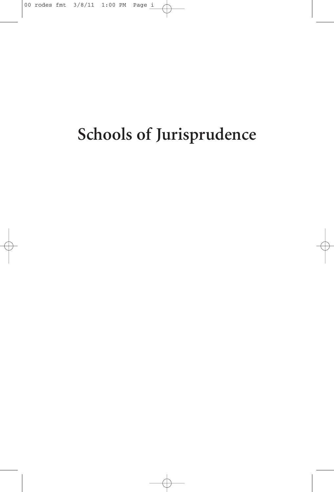## **Schools of Jurisprudence**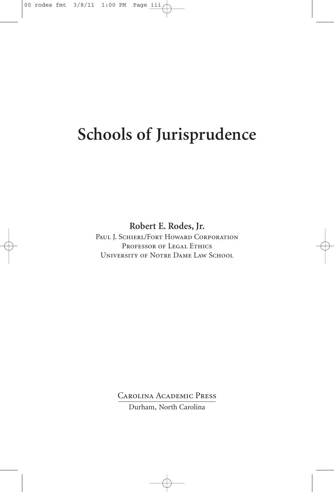## **Schools of Jurisprudence**

**Robert E. Rodes, Jr.**

PAUL J. SCHIERL/FORT HOWARD CORPORATION PROFESSOR OF LEGAL ETHICS University of Notre Dame Law School

Carolina Academic Press

Durham, North Carolina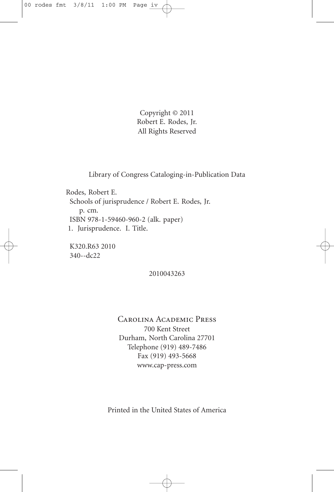Copyright © 2011 Robert E. Rodes, Jr. All Rights Reserved

Library of Congress Cataloging-in-Publication Data

Rodes, Robert E. Schools of jurisprudence / Robert E. Rodes, Jr. p. cm. ISBN 978-1-59460-960-2 (alk. paper) 1. Jurisprudence. I. Title.

K320.R63 2010 340--dc22

2010043263

Carolina Academic Press 700 Kent Street Durham, North Carolina 27701 Telephone (919) 489-7486 Fax (919) 493-5668 www.cap-press.com

Printed in the United States of America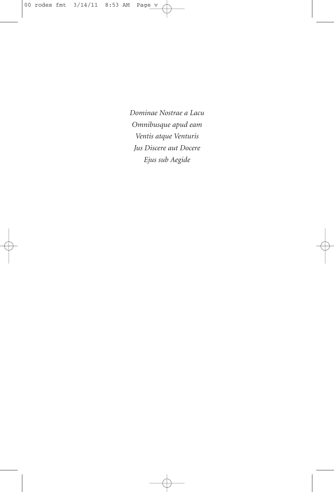*Dominae Nostrae a Lacu Omnibusque apud eam Ventis atque Venturis Jus Discere aut Docere Ejus sub Aegide*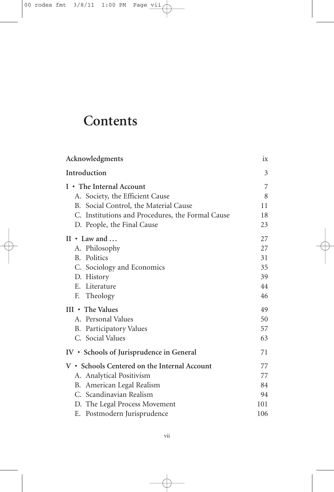## **Contents**

| Acknowledgments                                  | $1\rm X$ |
|--------------------------------------------------|----------|
| Introduction                                     | 3        |
| I • The Internal Account                         | 7        |
| A. Society, the Efficient Cause                  | 8        |
| B. Social Control, the Material Cause            | 11       |
| C. Institutions and Procedures, the Formal Cause | 18       |
| D. People, the Final Cause                       | 23       |
| $II \cdot Law$ and $\ldots$                      | 27       |
| A. Philosophy                                    | 27       |
| B. Politics                                      | 31       |
| C. Sociology and Economics                       | 35       |
| D. History                                       | 39       |
| E. Literature                                    | 44       |
| F. Theology                                      | 46       |
| $III \cdot$ The Values                           | 49       |
| A. Personal Values                               | 50       |
| B. Participatory Values                          | 57       |
| C. Social Values                                 | 63       |
| IV • Schools of Jurisprudence in General         | 71       |
| V • Schools Centered on the Internal Account     | 77       |
| A. Analytical Positivism                         | 77       |
| B. American Legal Realism                        | 84       |
| C. Scandinavian Realism                          | 94       |
| D. The Legal Process Movement                    | 101      |
| E. Postmodern Jurisprudence                      | 106      |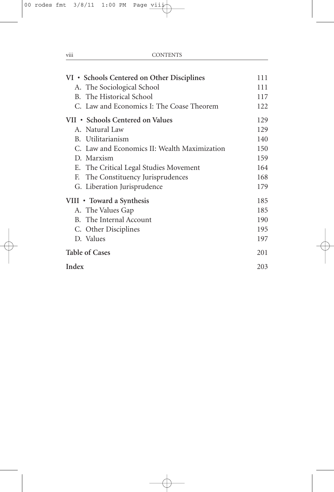| VI • Schools Centered on Other Disciplines   | 111 |
|----------------------------------------------|-----|
| A. The Sociological School                   | 111 |
| B. The Historical School                     | 117 |
| C. Law and Economics I: The Coase Theorem    | 122 |
| VII • Schools Centered on Values             | 129 |
| A. Natural Law                               | 129 |
| B. Utilitarianism                            | 140 |
| C. Law and Economics II: Wealth Maximization | 150 |
| D. Marxism                                   | 159 |
| E. The Critical Legal Studies Movement       | 164 |
| The Constituency Jurisprudences<br>F.        | 168 |
| G. Liberation Jurisprudence                  | 179 |
| VIII • Toward a Synthesis                    | 185 |
| A. The Values Gap                            | 185 |
| B. The Internal Account                      | 190 |
| C. Other Disciplines                         | 195 |
| D. Values                                    | 197 |
| <b>Table of Cases</b>                        | 201 |
| Index                                        | 203 |